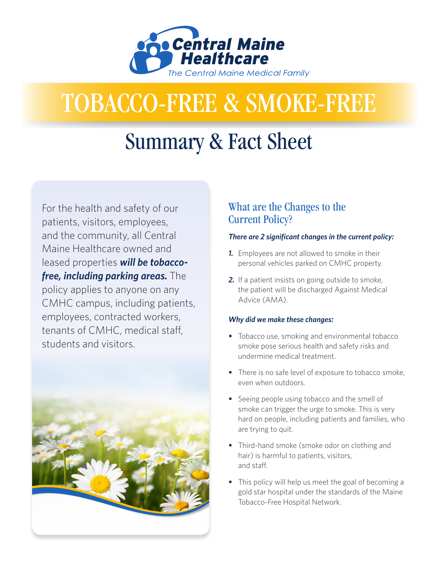

# TOBACCO-FREE & SMOKE-FREE

## Summary & Fact Sheet

For the health and safety of our patients, visitors, employees, and the community, all Central Maine Healthcare owned and leased properties *will be tobaccofree, including parking areas.* The policy applies to anyone on any CMHC campus, including patients, employees, contracted workers, tenants of CMHC, medical staff, students and visitors.



## What are the Changes to the Current Policy?

#### *There are 2 significant changes in the current policy:*

- *1.* Employees are not allowed to smoke in their personal vehicles parked on CMHC property.
- *2.* If a patient insists on going outside to smoke, the patient will be discharged Against Medical Advice (AMA).

#### *Why did we make these changes:*

- *•* Tobacco use, smoking and environmental tobacco smoke pose serious health and safety risks and undermine medical treatment.
- *•* There is no safe level of exposure to tobacco smoke, even when outdoors.
- Seeing people using tobacco and the smell of smoke can trigger the urge to smoke. This is very hard on people, including patients and families, who are trying to quit.
- *•* Third-hand smoke (smoke odor on clothing and hair) is harmful to patients, visitors, and staff.
- *•* This policy will help us meet the goal of becoming a gold star hospital under the standards of the Maine Tobacco-Free Hospital Network.